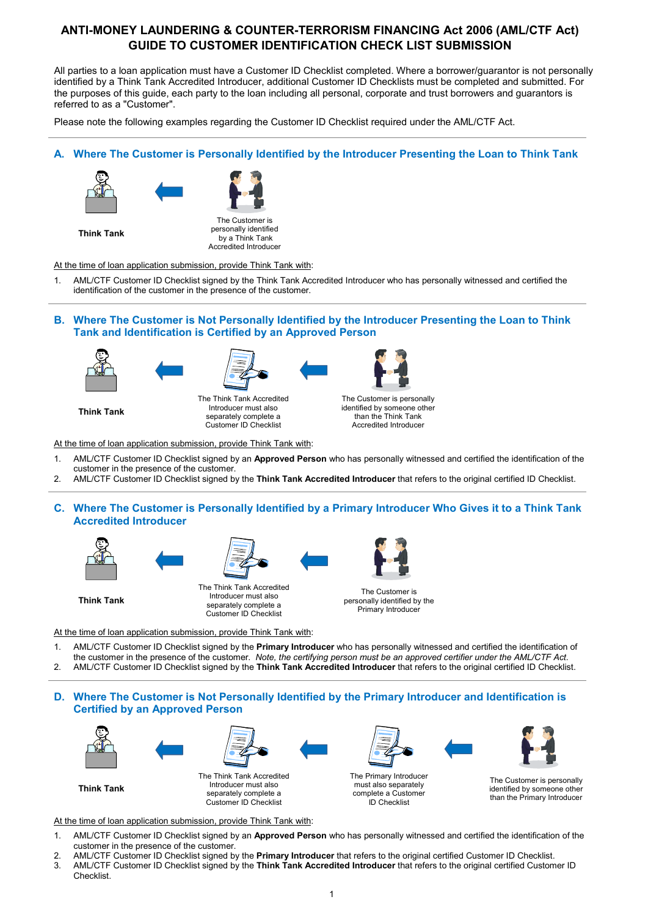# **ANTI-MONEY LAUNDERING & COUNTER-TERRORISM FINANCING Act 2006 (AML/CTF Act) GUIDE TO CUSTOMER IDENTIFICATION CHECK LIST SUBMISSION**

All parties to a loan application must have a Customer ID Checklist completed. Where a borrower/guarantor is not personally identified by a Think Tank Accredited Introducer, additional Customer ID Checklists must be completed and submitted. For the purposes of this guide, each party to the loan including all personal, corporate and trust borrowers and guarantors is referred to as a "Customer".

Please note the following examples regarding the Customer ID Checklist required under the AML/CTF Act.

## **A. Where The Customer is Personally Identified by the Introducer Presenting the Loan to Think Tank**





**Think Tank** 

The Customer is personally identified by a Think Tank Accredited Introducer

At the time of loan application submission, provide Think Tank with:

- 1. AML/CTF Customer ID Checklist signed by the Think Tank Accredited Introducer who has personally witnessed and certified the identification of the customer in the presence of the customer.
- **B. Where The Customer is Not Personally Identified by the Introducer Presenting the Loan to Think Tank and Identification is Certified by an Approved Person**







**Think Tank** 

The Think Tank Accredited Introducer must also separately complete a Customer ID Checklist

The Customer is personally identified by someone other than the Think Tank Accredited Introducer

At the time of loan application submission, provide Think Tank with:

- 1. AML/CTF Customer ID Checklist signed by an **Approved Person** who has personally witnessed and certified the identification of the customer in the presence of the customer.
- 2. AML/CTF Customer ID Checklist signed by the **Think Tank Accredited Introducer** that refers to the original certified ID Checklist.
- **C. Where The Customer is Personally Identified by a Primary Introducer Who Gives it to a Think Tank Accredited Introducer**





**Think Tank** 

The Think Tank Accredited Introducer must also separately complete a

Customer ID Checklist



The Customer is personally identified by the Primary Introducer

At the time of loan application submission, provide Think Tank with:

- 1. AML/CTF Customer ID Checklist signed by the **Primary Introducer** who has personally witnessed and certified the identification of the customer in the presence of the customer. *Note, the certifying person must be an approved certifier under the AML/CTF Act.*  2. AML/CTF Customer ID Checklist signed by the **Think Tank Accredited Introducer** that refers to the original certified ID Checklist.
- 

## **D. Where The Customer is Not Personally Identified by the Primary Introducer and Identification is Certified by an Approved Person**





**Think Tank** 





The Customer is personally identified by someone other than the Primary Introducer

At the time of loan application submission, provide Think Tank with:

- 1. AML/CTF Customer ID Checklist signed by an **Approved Person** who has personally witnessed and certified the identification of the customer in the presence of the customer.
- 2. AML/CTF Customer ID Checklist signed by the **Primary Introducer** that refers to the original certified Customer ID Checklist.
- 3. AML/CTF Customer ID Checklist signed by the **Think Tank Accredited Introducer** that refers to the original certified Customer ID Checklist.